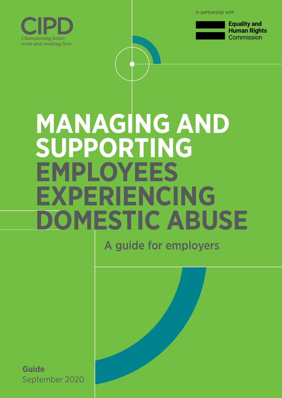in partnership with





**Equality and Human Rights** Commission

# **MANAGING AND SUPPORTING EMPLOYEES EXPERIENCING DOMESTIC ABUSE**

A guide for employers

**Guide** September 2020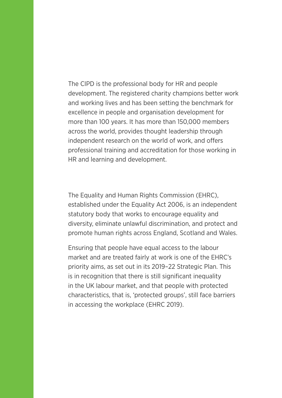The CIPD is the professional body for HR and people development. The registered charity champions better work and working lives and has been setting the benchmark for excellence in people and organisation development for more than 100 years. It has more than 150,000 members across the world, provides thought leadership through independent research on the world of work, and offers professional training and accreditation for those working in HR and learning and development.

The Equality and Human Rights Commission (EHRC), established under the Equality Act 2006, is an independent statutory body that works to encourage equality and diversity, eliminate unlawful discrimination, and protect and promote human rights across England, Scotland and Wales.

Ensuring that people have equal access to the labour market and are treated fairly at work is one of the EHRC's priority aims, as set out in its 2019–22 Strategic Plan. This is in recognition that there is still significant inequality in the UK labour market, and that people with protected characteristics, that is, 'protected groups', still face barriers in accessing the workplace (EHRC 2019).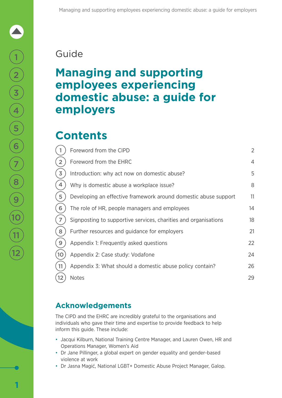### Guide

### **Managing and supporting employees experiencing domestic abuse: a guide for employers**

### **Contents**

|                   | Foreword from the CIPD                                          | $\overline{2}$ |
|-------------------|-----------------------------------------------------------------|----------------|
|                   | Foreword from the EHRC                                          | $\overline{4}$ |
| 3                 | Introduction: why act now on domestic abuse?                    | 5              |
|                   | Why is domestic abuse a workplace issue?                        | 8              |
|                   | Developing an effective framework around domestic abuse support | 11             |
| 6                 | The role of HR, people managers and employees                   | 14             |
|                   | Signposting to supportive services, charities and organisations | 18             |
|                   | Further resources and guidance for employers                    | 21             |
|                   | Appendix 1: Frequently asked questions                          | 22             |
|                   | Appendix 2: Case study: Vodafone                                | 24             |
|                   | Appendix 3: What should a domestic abuse policy contain?        | 26             |
| $12 \overline{ }$ | <b>Notes</b>                                                    | 29             |

### **Acknowledgements**

The CIPD and the EHRC are incredibly grateful to the organisations and individuals who gave their time and expertise to provide feedback to help inform this guide. These include:

- Jacqui Kilburn, National Training Centre Manager, and Lauren Owen, HR and Operations Manager, Women's Aid
- Dr Jane Pillinger, a global expert on gender equality and gender-based violence at work
- Dr Jasna Magić, National LGBT+ Domestic Abuse Project Manager, Galop.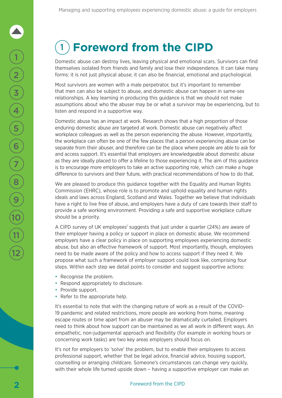Domestic abuse can destroy lives, leaving physical and emotional scars. Survivors can find themselves isolated from friends and family and lose their independence. It can take many forms: it is not just physical abuse; it can also be financial, emotional and psychological.

Most survivors are women with a male perpetrator, but it's important to remember that men can also be subject to abuse, and domestic abuse can happen in same-sex relationships. A key learning in producing this guidance is that we should not make assumptions about who the abuser may be or what a survivor may be experiencing, but to listen and respond in a supportive way.

Domestic abuse has an impact at work. Research shows that a high proportion of those enduring domestic abuse are targeted at work. Domestic abuse can negatively affect workplace colleagues as well as the person experiencing the abuse. However, importantly, the workplace can often be one of the few places that a person experiencing abuse can be separate from their abuser, and therefore can be the place where people are able to ask for and access support. It's essential that employers are knowledgeable about domestic abuse as they are ideally placed to offer a lifeline to those experiencing it. The aim of this guidance is to encourage more employers to take an active supporting role, which can make a huge difference to survivors and their future, with practical recommendations of how to do that.

We are pleased to produce this guidance together with the Equality and Human Rights Commission (EHRC), whose role is to promote and uphold equality and human rights ideals and laws across England, Scotland and Wales. Together we believe that individuals have a right to live free of abuse, and employers have a duty of care towards their staff to provide a safe working environment. Providing a safe and supportive workplace culture should be a priority.

A CIPD survey of UK employees<sup>1</sup> suggests that just under a quarter (24%) are aware of their employer having a policy or support in place on domestic abuse. We recommend employers have a clear policy in place on supporting employees experiencing domestic abuse, but also an effective framework of support. Most importantly, though, employees need to be made aware of the policy and how to access support if they need it. We propose what such a framework of employer support could look like, comprising four steps. Within each step we detail points to consider and suggest supportive actions:

- Recognise the problem.
- Respond appropriately to disclosure.
- Provide support.
- Refer to the appropriate help.

It's essential to note that with the changing nature of work as a result of the COVID-19 pandemic and related restrictions, more people are working from home, meaning escape routes or time apart from an abuser may be dramatically curtailed. Employers need to think about how support can be maintained as we all work in different ways. An empathetic, non-judgemental approach and flexibility (for example in working hours or concerning work tasks) are two key areas employers should focus on.

It's not for employers to 'solve' the problem, but to enable their employees to access professional support, whether that be legal advice, financial advice, housing support, counselling or arranging childcare. Someone's circumstances can change very quickly, with their whole life turned upside down – having a supportive employer can make an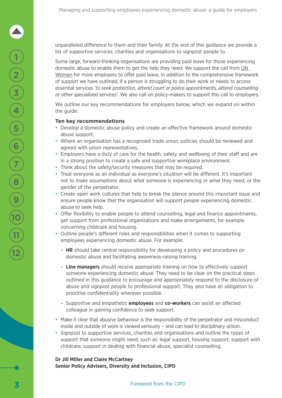unparalleled difference to them and their family. At the end of this guidance we provide a list of supportive services, charities and organisations to signpost people to.

Some large, forward-thinking organisations are providing paid leave for those experiencing domestic abuse to enable them to get the help they need. We support the call from [UN](https://www.weps.org/sites/default/files/2020-05/COVID-19 DOMESTIC VIOLENCE 2020 %28FINAL%29.pdf)  [Women](https://www.weps.org/sites/default/files/2020-05/COVID-19 DOMESTIC VIOLENCE 2020 %28FINAL%29.pdf) for more employers to offer paid leave, in addition to the comprehensive framework of support we have outlined, if a person is struggling to do their work or needs to access essential services *'to seek protection, attend court or police appointments, attend counselling or other specialized services'*. We also call on policy-makers to support this call to employers.

We outline our key recommendations for employers below, which we expand on within the guide:

#### **Ten key recommendations**

- Develop a domestic abuse policy and create an effective framework around domestic abuse support.
- Where an organisation has a recognised trade union, policies should be reviewed and agreed with union representatives.
- Employers have a duty of care for the health, safety and wellbeing of their staff and are in a strong position to create a safe and supportive workplace environment.
- Think about the safety/security measures that may be required.
- Treat everyone as an individual as everyone's situation will be different. It's important not to make assumptions about what someone is experiencing or what they need, or the gender of the perpetrator.
- Create open work cultures that help to break the silence around this important issue and ensure people know that the organisation will support people experiencing domestic abuse to seek help.
- Offer flexibility to enable people to attend counselling, legal and finance appointments, get support from professional organisations and make arrangements, for example concerning childcare and housing.
- Outline people's different roles and responsibilities when it comes to supporting employees experiencing domestic abuse. For example:
	- **HR** should take central responsibility for developing a policy and procedures on domestic abuse and facilitating awareness-raising training.
	- **Line managers** should receive appropriate training on how to effectively support someone experiencing domestic abuse. They need to be clear on the practical steps outlined in this guidance to encourage and appropriately respond to the disclosure of abuse and signpost people to professional support. They also have an obligation to prioritise confidentiality wherever possible.
	- Supportive and empathetic **employees** and **co-workers** can assist an affected colleague in gaining confidence to seek support.
- Make it clear that abusive behaviour is the responsibility of the perpetrator and misconduct inside and outside of work is viewed seriously – and can lead to disciplinary action.
- Signpost to supportive services, charities and organisations and outline the types of support that someone might need, such as: legal support, housing support, support with childcare, support in dealing with financial abuse, specialist counselling.

#### **Dr Jill Miller and Claire McCartney Senior Policy Advisers, Diversity and Inclusion, CIPD**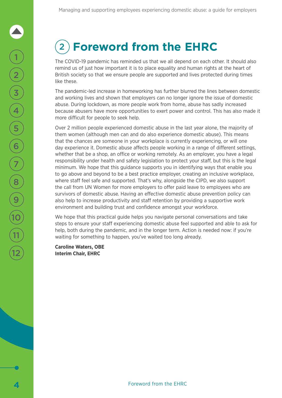# 2 **Foreword from the EHRC**

The COVID-19 pandemic has reminded us that we all depend on each other. It should also remind us of just how important it is to place equality and human rights at the heart of British society so that we ensure people are supported and lives protected during times like these.

The pandemic-led increase in homeworking has further blurred the lines between domestic and working lives and shown that employers can no longer ignore the issue of domestic abuse. During lockdown, as more people work from home, abuse has sadly increased because abusers have more opportunities to exert power and control. This has also made it more difficult for people to seek help.

Over 2 million people experienced domestic abuse in the last year alone, the majority of them women (although men can and do also experience domestic abuse). This means that the chances are someone in your workplace is currently experiencing, or will one day experience it. Domestic abuse affects people working in a range of different settings, whether that be a shop, an office or working remotely. As an employer, you have a legal responsibility under health and safety legislation to protect your staff, but this is the legal minimum. We hope that this guidance supports you in identifying ways that enable you to go above and beyond to be a best practice employer, creating an inclusive workplace, where staff feel safe and supported. That's why, alongside the CIPD, we also support the call from UN Women for more employers to offer paid leave to employees who are survivors of domestic abuse. Having an effective domestic abuse prevention policy can also help to increase productivity and staff retention by providing a supportive work environment and building trust and confidence amongst your workforce.

We hope that this practical guide helps you navigate personal conversations and take steps to ensure your staff experiencing domestic abuse feel supported and able to ask for help, both during the pandemic, and in the longer term. Action is needed now: if you're waiting for something to happen, you've waited too long already.

**Caroline Waters, OBE Interim Chair, EHRC**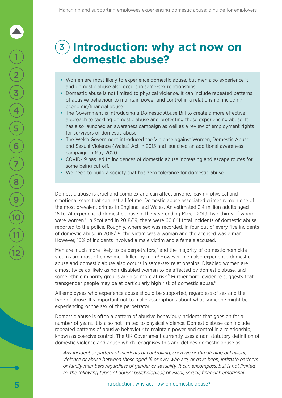### 3 **Introduction: why act now on domestic abuse?**

- Women are most likely to experience domestic abuse, but men also experience it and domestic abuse also occurs in same-sex relationships.
- Domestic abuse is not limited to physical violence. It can include repeated patterns of abusive behaviour to maintain power and control in a relationship, including economic/financial abuse.
- The Government is introducing a Domestic Abuse Bill to create a more effective approach to tackling domestic abuse and protecting those experiencing abuse. It has also launched an awareness campaign as well as a review of employment rights for survivors of domestic abuse.
- The Welsh Government introduced the Violence against Women, Domestic Abuse and Sexual Violence (Wales) Act in 2015 and launched an additional awareness campaign in May 2020.
- COVID-19 has led to incidences of domestic abuse increasing and escape routes for some being cut off.
- We need to build a society that has zero tolerance for domestic abuse.

Domestic abuse is cruel and complex and can affect anyone, leaving physical and emotional scars that can last a [lifetime](https://www.gov.uk/government/collections/domestic-abuse-bill). Domestic abuse associated crimes remain one of the most prevalent crimes in England and Wales. An estimated 2.4 million adults aged 16 to 74 experienced domestic abuse in the year ending March 2019, two-thirds of whom were women.<sup>2</sup> In [Scotland](https://www.gov.scot/publications/domestic-abuse-scotland-2018-2019-statistics/) in 2018/19, there were 60,641 total incidents of domestic abuse reported to the police. Roughly, where sex was recorded, in four out of every five incidents of domestic abuse in 2018/19, the victim was a woman and the accused was a man. However, 16% of incidents involved a male victim and a female accused.

Men are much more likely to be perpetrators, $3$  and the majority of domestic homicide victims are most often women, killed by men.4 However, men also experience domestic abuse and domestic abuse also occurs in same-sex relationships. Disabled women are almost twice as likely as non-disabled women to be affected by domestic abuse, and some ethnic minority groups are also more at risk.<sup>5</sup> Furthermore, evidence suggests that transgender people may be at particularly high risk of domestic abuse.<sup>6</sup>

All employees who experience abuse should be supported, regardless of sex and the type of abuse. It's important not to make assumptions about what someone might be experiencing or the sex of the perpetrator.

Domestic abuse is often a pattern of abusive behaviour/incidents that goes on for a number of years. It is also not limited to physical violence. Domestic abuse can include repeated patterns of abusive behaviour to maintain power and control in a relationship, known as coercive control. The UK Government currently uses a non-statutory definition of domestic violence and abuse which recognises this and defines domestic abuse as:

*Any incident or pattern of incidents of controlling, coercive or threatening behaviour, violence or abuse between those aged 16 or over who are, or have been, intimate partners or family members regardless of gender or sexuality. It can encompass, but is not limited to, the following types of abuse: psychological; physical; sexual; financial; emotional.*

2

1

3

4

5

6

7

8

9

 $\frac{10}{11}$ <br> $\frac{1}{12}$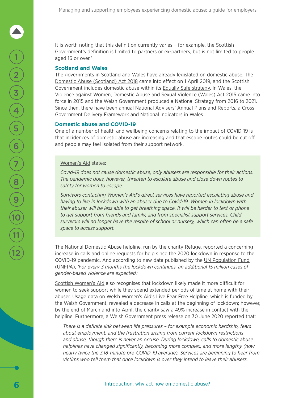It is worth noting that this definition currently varies – for example, the Scottish Government's definition is limited to partners or ex-partners, but is not limited to people aged 16 or over.<sup>7</sup>

#### **Scotland and Wales**

[The](http://www.legislation.gov.uk/asp/2018/5/contents/enacted) governments in Scotland and Wales have already legislated on domestic abuse. The [Domestic Abuse \(Scotland\) Act 2018](http://www.legislation.gov.uk/asp/2018/5/contents/enacted) came into effect on 1 April 2019, and the Scottish Government includes domestic abuse within its [Equally Safe strategy](https://www.gov.scot/publications/equally-safe-scotlands-strategy-prevent-eradicate-violence-against-women-girls/). In Wales, the Violence against Women, Domestic Abuse and Sexual Violence (Wales) Act 2015 came into force in 2015 and the Welsh Government produced a National Strategy from 2016 to 2021. Since then, there have been annual National Advisers' Annual Plans and Reports, a Cross Government Delivery Framework and National Indicators in Wales.

#### **Domestic abuse and COVID-19**

One of a number of health and wellbeing concerns relating to the impact of COVID-19 is that incidences of domestic abuse are increasing and that escape routes could be cut off and people may feel isolated from their support network.

#### [Women's Aid](https://www.womensaid.org.uk/covid-19-resource-hub/#1585739910691-6b8d326b-5792) states:

*Covid-19 does not cause domestic abuse, only abusers are responsible for their actions. The pandemic does, however, threaten to escalate abuse and close down routes to safety for women to escape.*

*Survivors contacting Women's Aid's direct services have reported escalating abuse and having to live in lockdown with an abuser due to Covid-19. Women in lockdown with their abuser will be less able to get breathing space. It will be harder to text or phone to get support from friends and family, and from specialist support services. Child survivors will no longer have the respite of school or nursery, which can often be a safe space to access support.*

The National Domestic Abuse helpline, run by the charity Refuge, reported a concerning increase in calls and online requests for help since the 2020 lockdown in response to the COVID-19 pandemic. And according to new data published by the [UN Population Fund](https://www.unfpa.org/resources/impact-covid-19-pandemic-family-planning-and-ending-gender-based-violence-female-genital) (UNFPA), *'For every 3 months the lockdown continues, an additional 15 million cases of gender-based violence are expected.'*

[Scottish Women's Aid](https://womensaid.scot/wp-content/uploads/2020/05/Equalities-and-Human-Rights-Committee-submission-final.pdf) also recognises that lockdown likely made it more difficult for women to seek support while they spend extended periods of time at home with their abuser. [Usage data](https://www.dailypost.co.uk/news/north-wales-news/welsh-domestic-violence-charity-gives-18333086) on Welsh Women's Aid's Live Fear Free Helpline, which is funded by the Welsh Government, revealed a decrease in calls at the beginning of lockdown; however, by the end of March and into April, the charity saw a 49% increase in contact with the helpline. Furthermore, a [Welsh Government press release](https://gov.wales/new-welsh-government-funding-will-help-victims-and-survivors-domestic-abuse-live-fear-free) on 30 June 2020 reported that:

*There is a definite link between life pressures – for example economic hardship, fears about employment, and the frustration arising from current lockdown restrictions – and abuse, though there is never an excuse. During lockdown, calls to domestic abuse helplines have changed significantly, becoming more complex, and more lengthy (now nearly twice the 3.18-minute pre-COVID-19 average). Services are beginning to hear from victims who tell them that once lockdown is over they intend to leave their abusers.*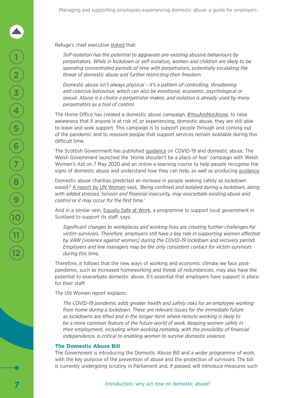Refuge's chief executive [stated](https://www.refuge.org.uk/refuge-responds-to-covid-19/) that:

*Self-isolation has the potential to aggravate pre-existing abusive behaviours by perpetrators. While in lockdown or self-isolation, women and children are likely to be spending concentrated periods of time with perpetrators, potentially escalating the threat of domestic abuse and further restricting their freedom.*

*Domestic abuse isn't always physical – it's a pattern of controlling, threatening and coercive behaviour, which can also be emotional, economic, psychological or sexual. Abuse is a choice a perpetrator makes, and isolation is already used by many perpetrators as a tool of control.*

The Home Office has created a domestic abuse campaign, [#YouAreNotAlone,](https://protect-eu.mimecast.com/s/Egx6CvQ8xF7AMLgCQMAZF?domain=gov.uk) to raise awareness that if anyone is at risk of, or experiencing, domestic abuse, they are still able to leave and seek support. This campaign is to support people through and coming out of the pandemic and to reassure people that support services remain available during this difficult time.

The Scottish Government has published [guidance](https://www.gov.scot/publications/coronavirus-covid-19-guidance-on-domestic-abuse/pages/overview/) on COVID-19 and domestic abuse. The Welsh Government launched the 'Home shouldn't be a place of fear' campaign with Welsh Women's Aid on 7 May 2020 and an online e-learning course to help people recognise the signs of domestic abuse and understand how they can help, as well as producing *guidance*.

Domestic abuse charities predicted an increase in people seeking safety as lockdown eased.<sup>8</sup> [A report by UN Women](https://www.weps.org/sites/default/files/2020-05/COVID-19 DOMESTIC VIOLENCE 2020 %28FINAL%29.pdf) says, *'Being confined and isolated during a lockdown, along with added stresses, tension and financial insecurity, may exacerbate existing abuse and control or it may occur for the first time.'*

And in a similar vein, [Equally Safe at Work](https://www.equallysafeatwork.scot/resources/ESAWcovid19final.pdf), a programme to support local government in Scotland to support its staff, says:

*Significant changes to workplaces and working lives are creating further challenges for victim-survivors. Therefore, employers still have a key role in supporting women affected by VAW [violence against women] during the COVID-19 lockdown and recovery period. Employers and line managers may be the only consistent contact for victim-survivors during this time.*

Therefore, it follows that the new ways of working and economic climate we face postpandemic, such as increased homeworking and threat of redundancies, may also have the potential to exacerbate domestic abuse. It's essential that employers have support in place for their staff.

The UN Women report explains:

*The COVID-19 pandemic adds greater health and safety risks for an employee working from home during a lockdown. These are relevant issues for the immediate future as lockdowns are lifted and in the longer-term where remote working is likely to be a more common feature of the future world of work. Keeping women safely in their employment, including when working remotely, with the possibility of financial independence, is critical to enabling women to survive domestic violence.*

#### **The Domestic Abuse Bill**

The Government is introducing the Domestic Abuse Bill and a wider programme of work, with the key purpose of the prevention of abuse and the protection of survivors. The bill is currently undergoing scrutiny in Parliament and, if passed, will introduce measures such

2

1

3

4

5

6

7

8

9

 $\frac{10}{11}$ <br> $\frac{1}{12}$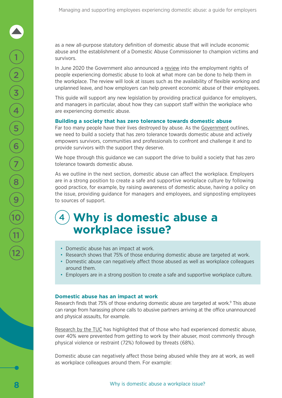as a new all-purpose statutory definition of domestic abuse that will include economic abuse and the establishment of a Domestic Abuse Commissioner to champion victims and survivors.

In June 2020 the Government also announced a [review](https://www.gov.uk/government/news/government-to-review-support-in-the-workplace-for-survivors-of-domestic-abuse) into the employment rights of people experiencing domestic abuse to look at what more can be done to help them in the workplace. The review will look at issues such as the availability of flexible working and unplanned leave, and how employers can help prevent economic abuse of their employees.

This guide will support any new legislation by providing practical guidance for employers, and managers in particular, about how they can support staff within the workplace who are experiencing domestic abuse.

#### **Building a society that has zero tolerance towards domestic abuse**

Far too many people have their lives destroyed by abuse. As the [Government](https://www.gov.uk/government/collections/domestic-abuse-bill) outlines, we need to build a society that has zero tolerance towards domestic abuse and actively empowers survivors, communities and professionals to confront and challenge it and to provide survivors with the support they deserve.

We hope through this guidance we can support the drive to build a society that has zero tolerance towards domestic abuse.

As we outline in the next section, domestic abuse can affect the workplace. Employers are in a strong position to create a safe and supportive workplace culture by following good practice, for example, by raising awareness of domestic abuse, having a policy on the issue, providing guidance for managers and employees, and signposting employees to sources of support.

### 4 **Why is domestic abuse a workplace issue?**

- Domestic abuse has an impact at work.
- Research shows that 75% of those enduring domestic abuse are targeted at work.
- Domestic abuse can negatively affect those abused as well as workplace colleagues around them.
- Employers are in a strong position to create a safe and supportive workplace culture.

#### **Domestic abuse has an impact at work**

Research finds that 75% of those enduring domestic abuse are targeted at work.<sup>9</sup> This abuse can range from harassing phone calls to abusive partners arriving at the office unannounced and physical assaults, for example.

[Research by the TUC](https://www.tuc.org.uk/sites/default/files/Domestic_Violence_And_The_Workplace_0.pdf) has highlighted that of those who had experienced domestic abuse, over 40% were prevented from getting to work by their abuser, most commonly through physical violence or restraint (72%) followed by threats (68%).

Domestic abuse can negatively affect those being abused while they are at work, as well as workplace colleagues around them. For example: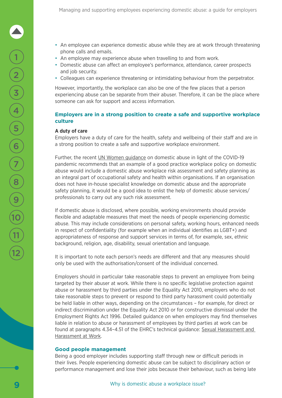- An employee can experience domestic abuse while they are at work through threatening phone calls and emails.
- An employee may experience abuse when travelling to and from work.
- Domestic abuse can affect an employee's performance, attendance, career prospects and job security.
- Colleagues can experience threatening or intimidating behaviour from the perpetrator.

However, importantly, the workplace can also be one of the few places that a person experiencing abuse can be separate from their abuser. Therefore, it can be the place where someone can ask for support and access information.

#### **Employers are in a strong position to create a safe and supportive workplace culture**

#### **A duty of care**

Employers have a duty of care for the health, safety and wellbeing of their staff and are in a strong position to create a safe and supportive workplace environment.

Further, the recent [UN Women guidance](https://www.weps.org/sites/default/files/2020-05/COVID-19 DOMESTIC VIOLENCE 2020 %28FINAL%29.pdf) on domestic abuse in light of the COVID-19 pandemic recommends that an example of a good practice workplace policy on domestic abuse would include a domestic abuse workplace risk assessment and safety planning as an integral part of occupational safety and health within organisations. If an organisation does not have in-house specialist knowledge on domestic abuse and the appropriate safety planning, it would be a good idea to enlist the help of domestic abuse services/ professionals to carry out any such risk assessment.

If domestic abuse is disclosed, where possible, working environments should provide flexible and adaptable measures that meet the needs of people experiencing domestic abuse. This may include considerations on personal safety, working hours, enhanced needs in respect of confidentiality (for example when an individual identifies as LGBT+) and appropriateness of response and support services in terms of, for example, sex, ethnic background, religion, age, disability, sexual orientation and language.

It is important to note each person's needs are different and that any measures should only be used with the authorisation/consent of the individual concerned.

Employers should in particular take reasonable steps to prevent an employee from being targeted by their abuser at work. While there is no specific legislative protection against abuse or harassment by third parties under the Equality Act 2010, employers who do not take reasonable steps to prevent or respond to third party harassment could potentially be held liable in other ways, depending on the circumstances – for example, for direct or indirect discrimination under the Equality Act 2010 or for constructive dismissal under the Employment Rights Act 1996. Detailed guidance on when employers may find themselves liable in relation to abuse or harassment of employees by third parties at work can be found at paragraphs 4.34–4.51 of the EHRC's technical guidance: [Sexual Harassment and](https://www.equalityhumanrights.com/en/publication-download/sexual-harassment-and-harassment-work-technical-guidance)  [Harassment at Work.](https://www.equalityhumanrights.com/en/publication-download/sexual-harassment-and-harassment-work-technical-guidance)

#### **Good people management**

Being a good employer includes supporting staff through new or difficult periods in their lives. People experiencing domestic abuse can be subject to disciplinary action or performance management and lose their jobs because their behaviour, such as being late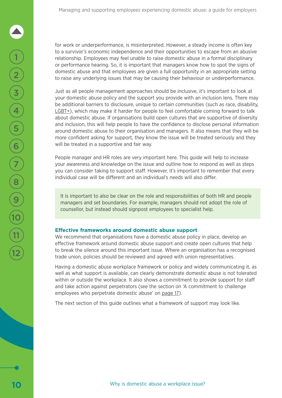for work or underperformance, is misinterpreted. However, a steady income is often key to a survivor's economic independence and their opportunities to escape from an abusive relationship. Employees may feel unable to raise domestic abuse in a formal disciplinary or performance hearing. So, it is important that managers know how to spot the signs of domestic abuse and that employees are given a full opportunity in an appropriate setting to raise any underlying issues that may be causing their behaviour or underperformance.

Just as all people management approaches should be inclusive, it's important to look at your domestic abuse policy and the support you provide with an inclusion lens. There may be additional barriers to disclosure, unique to certain communities (such as race, disability, [LGBT+](https://www.galop.org.uk/wp-content/uploads/For-Service-Providers-Barriers.pdf)), which may make it harder for people to feel comfortable coming forward to talk about domestic abuse. If organisations build open cultures that are supportive of diversity and inclusion, this will help people to have the confidence to disclose personal information around domestic abuse to their organisation and managers. It also means that they will be more confident asking for support, they know the issue will be treated seriously and they will be treated in a supportive and fair way.

People manager and HR roles are very important here. This guide will help to increase your awareness and knowledge on the issue and outline how to respond as well as steps you can consider taking to support staff. However, it's important to remember that every individual case will be different and an individual's needs will also differ.

It is important to also be clear on the role and responsibilities of both HR and people managers and set boundaries. For example, managers should not adopt the role of counsellor, but instead should signpost employees to specialist help.

#### **Effective frameworks around domestic abuse support**

We recommend that organisations have a domestic abuse policy in place, develop an effective framework around domestic abuse support and create open cultures that help to break the silence around this important issue. Where an organisation has a recognised trade union, policies should be reviewed and agreed with union representatives.

Having a domestic abuse workplace framework or policy and widely communicating it, as well as what support is available, can clearly demonstrate domestic abuse is not tolerated within or outside the workplace. It also shows a commitment to provide support for staff and take action against perpetrators (see the section on 'A commitment to challenge employees who perpetrate domestic abuse' on [page 17\)](#page-18-0).

The next section of this guide outlines what a framework of support may look like.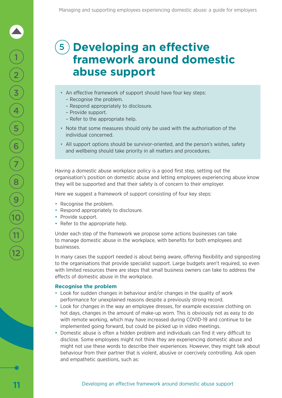### 5 **Developing an effective framework around domestic abuse support**

- An effective framework of support should have four key steps:
	- Recognise the problem.
	- Respond appropriately to disclosure.
	- Provide support.
	- Refer to the appropriate help.
- Note that some measures should only be used with the authorisation of the individual concerned.
- All support options should be survivor-oriented, and the person's wishes, safety and wellbeing should take priority in all matters and procedures.

Having a domestic abuse workplace policy is a good first step, setting out the organisation's position on domestic abuse and letting employees experiencing abuse know they will be supported and that their safety is of concern to their employer.

Here we suggest a framework of support consisting of four key steps:

- Recognise the problem.
- Respond appropriately to disclosure.
- Provide support.
- Refer to the appropriate help.

Under each step of the framework we propose some actions businesses can take to manage domestic abuse in the workplace, with benefits for both employees and businesses.

In many cases the support needed is about being aware, offering flexibility and signposting to the organisations that provide specialist support. Large budgets aren't required, so even with limited resources there are steps that small business owners can take to address the effects of domestic abuse in the workplace.

#### **Recognise the problem**

- Look for sudden changes in behaviour and/or changes in the quality of work performance for unexplained reasons despite a previously strong record.
- Look for changes in the way an employee dresses, for example excessive clothing on hot days, changes in the amount of make-up worn. This is obviously not as easy to do with remote working, which may have increased during COVID-19 and continue to be implemented going forward, but could be picked up in video meetings.
- Domestic abuse is often a hidden problem and individuals can find it very difficult to disclose. Some employees might not think they are experiencing domestic abuse and might not use these words to describe their experiences. However, they might talk about behaviour from their partner that is violent, abusive or coercively controlling. Ask open and empathetic questions, such as:

1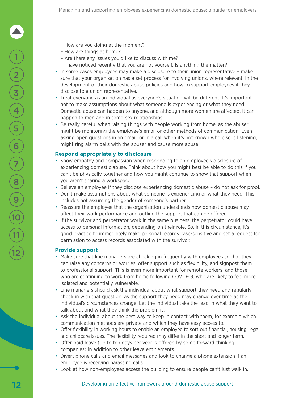- How are you doing at the moment?
- How are things at home?
- Are there any issues you'd like to discuss with me?
- I have noticed recently that you are not yourself. Is anything the matter?
- In some cases employees may make a disclosure to their union representative make sure that your organisation has a set process for involving unions, where relevant, in the development of their domestic abuse policies and how to support employees if they disclose to a union representative.
- Treat everyone as an individual as everyone's situation will be different. It's important not to make assumptions about what someone is experiencing or what they need. Domestic abuse can happen to anyone, and although more women are affected, it can happen to men and in same-sex relationships.
- Be really careful when raising things with people working from home, as the abuser might be monitoring the employee's email or other methods of communication. Even asking open questions in an email, or in a call when it's not known who else is listening, might ring alarm bells with the abuser and cause more abuse.

#### **Respond appropriately to disclosure**

- Show empathy and compassion when responding to an employee's disclosure of experiencing domestic abuse. Think about how you might best be able to do this if you can't be physically together and how you might continue to show that support when you aren't sharing a workspace.
- Believe an employee if they disclose experiencing domestic abuse do not ask for proof.
- Don't make assumptions about what someone is experiencing or what they need. This includes not assuming the gender of someone's partner.
- Reassure the employee that the organisation understands how domestic abuse may affect their work performance and outline the support that can be offered.
- If the survivor and perpetrator work in the same business, the perpetrator could have access to personal information, depending on their role. So, in this circumstance, it's good practice to immediately make personal records case-sensitive and set a request for permission to access records associated with the survivor.

#### **Provide support**

- Make sure that line managers are checking in frequently with employees so that they can raise any concerns or worries, offer support such as flexibility, and signpost them to professional support. This is even more important for remote workers, and those who are continuing to work from home following COVID-19, who are likely to feel more isolated and potentially vulnerable.
- Line managers should ask the individual about what support they need and regularly check in with that question, as the support they need may change over time as the individual's circumstances change. Let the individual take the lead in what they want to talk about and what they think the problem is.
- Ask the individual about the best way to keep in contact with them, for example which communication methods are private and which they have easy access to.
- Offer flexibility in working hours to enable an employee to sort out financial, housing, legal and childcare issues. The flexibility required may differ in the short and longer term.
- Offer paid leave (up to ten days per year is offered by some forward-thinking companies) in addition to other leave entitlements.
- Divert phone calls and email messages and look to change a phone extension if an employee is receiving harassing calls.
- Look at how non-employees access the building to ensure people can't just walk in.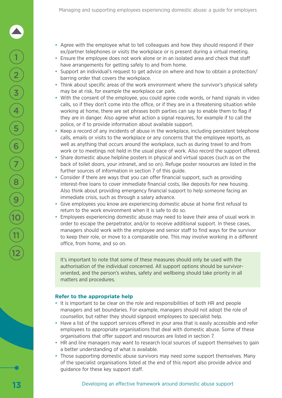- Agree with the employee what to tell colleagues and how they should respond if their ex/partner telephones or visits the workplace or is present during a virtual meeting.
- Ensure the employee does not work alone or in an isolated area and check that staff have arrangements for getting safely to and from home.
- Support an individual's request to get advice on where and how to obtain a protection/ barring order that covers the workplace.
- Think about specific areas of the work environment where the survivor's physical safety may be at risk, for example the workplace car park.
- With the consent of the employee, you could agree code words, or hand signals in video calls, so if they don't come into the office, or if they are in a threatening situation while working at home, there are set phrases both parties can say to enable them to flag if they are in danger. Also agree what action a signal requires, for example if to call the police, or if to provide information about available support.
- Keep a record of any incidents of abuse in the workplace, including persistent telephone calls, emails or visits to the workplace or any concerns that the employee reports, as well as anything that occurs around the workplace, such as during travel to and from work or to meetings not held in the usual place of work. Also record the support offered.
- Share domestic abuse helpline posters in physical and virtual spaces (such as on the back of toilet doors, your intranet, and so on). Refuge poster resources are listed in the further sources of information in section 7 of this guide.
- Consider if there are ways that you can offer financial support, such as providing interest-free loans to cover immediate financial costs, like deposits for new housing. Also think about providing emergency financial support to help someone facing an immediate crisis, such as through a salary advance.
- Give employees you know are experiencing domestic abuse at home first refusal to return to the work environment when it is safe to do so.
- Employees experiencing domestic abuse may need to leave their area of usual work in order to escape the perpetrator, and/or to receive additional support. In these cases, managers should work with the employee and senior staff to find ways for the survivor to keep their role, or move to a comparable one. This may involve working in a different office, from home, and so on.

It's important to note that some of these measures should only be used with the authorisation of the individual concerned. All support options should be survivororiented, and the person's wishes, safety and wellbeing should take priority in all matters and procedures.

#### **Refer to the appropriate help**

- It is important to be clear on the role and responsibilities of both HR and people managers and set boundaries. For example, managers should not adopt the role of counsellor, but rather they should signpost employees to specialist help.
- Have a list of the support services offered in your area that is easily accessible and refer employees to appropriate organisations that deal with domestic abuse. Some of these organisations that offer support and resources are listed in section 7.
- HR and line managers may want to research local sources of support themselves to gain a better understanding of what is available.
- Those supporting domestic abuse survivors may need some support themselves. Many of the specialist organisations listed at the end of this report also provide advice and guidance for these key support staff.

2

1

3

4

5

6

7

8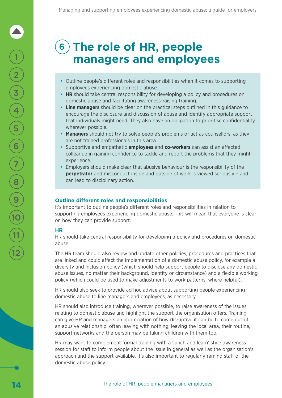### 6 **The role of HR, people managers and employees**

- Outline people's different roles and responsibilities when it comes to supporting employees experiencing domestic abuse.
- **HR** should take central responsibility for developing a policy and procedures on domestic abuse and facilitating awareness-raising training.
- **Line managers** should be clear on the practical steps outlined in this guidance to encourage the disclosure and discussion of abuse and identify appropriate support that individuals might need. They also have an obligation to prioritise confidentiality wherever possible.
- **Managers** should not try to solve people's problems or act as counsellors, as they are not trained professionals in this area.
- Supportive and empathetic **employees** and **co-workers** can assist an affected colleague in gaining confidence to tackle and report the problems that they might experience.
- Employers should make clear that abusive behaviour is the responsibility of the **perpetrator** and misconduct inside and outside of work is viewed seriously - and can lead to disciplinary action.

#### **Outline different roles and responsibilities**

It's important to outline people's different roles and responsibilities in relation to supporting employees experiencing domestic abuse. This will mean that everyone is clear on how they can provide support.

#### **HR**

HR should take central responsibility for developing a policy and procedures on domestic abuse.

The HR team should also review and update other policies, procedures and practices that are linked and could affect the implementation of a domestic abuse policy, for example a diversity and inclusion policy (which should help support people to disclose any domestic abuse issues, no matter their background, identity or circumstance) and a flexible working policy (which could be used to make adjustments to work patterns, where helpful).

HR should also seek to provide ad hoc advice about supporting people experiencing domestic abuse to line managers and employees, as necessary.

HR should also introduce training, wherever possible, to raise awareness of the issues relating to domestic abuse and highlight the support the organisation offers. Training can give HR and managers an appreciation of how disruptive it can be to come out of an abusive relationship, often leaving with nothing, leaving the local area, their routine, support networks and the person may be taking children with them too.

HR may want to complement formal training with a 'lunch and learn' style awareness session for staff to inform people about the issue in general as well as the organisation's approach and the support available. It's also important to regularly remind staff of the domestic abuse policy.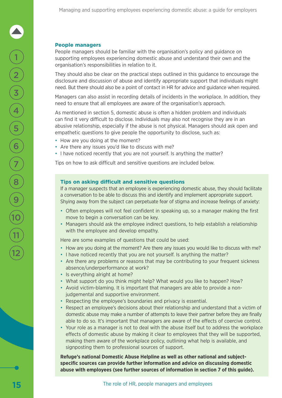#### **People managers**

People managers should be familiar with the organisation's policy and guidance on supporting employees experiencing domestic abuse and understand their own and the organisation's responsibilities in relation to it.

They should also be clear on the practical steps outlined in this guidance to encourage the disclosure and discussion of abuse and identify appropriate support that individuals might need. But there should also be a point of contact in HR for advice and guidance when required.

Managers can also assist in recording details of incidents in the workplace. In addition, they need to ensure that all employees are aware of the organisation's approach.

As mentioned in section 5, domestic abuse is often a hidden problem and individuals can find it very difficult to disclose. Individuals may also not recognise they are in an abusive relationship, especially if the abuse is not physical. Managers should ask open and empathetic questions to give people the opportunity to disclose, such as:

- How are you doing at the moment?
- Are there any issues you'd like to discuss with me?
- I have noticed recently that you are not yourself. Is anything the matter?

Tips on how to ask difficult and sensitive questions are included below.

#### **Tips on asking difficult and sensitive questions**

If a manager suspects that an employee is experiencing domestic abuse, they should facilitate a conversation to be able to discuss this and identify and implement appropriate support. Shying away from the subject can perpetuate fear of stigma and increase feelings of anxiety:

- Often employees will not feel confident in speaking up, so a manager making the first move to begin a conversation can be key.
- Managers should ask the employee indirect questions, to help establish a relationship with the employee and develop empathy.

Here are some examples of questions that could be used:

- How are you doing at the moment? Are there any issues you would like to discuss with me?
- I have noticed recently that you are not yourself. Is anything the matter?
- Are there any problems or reasons that may be contributing to your frequent sickness absence/underperformance at work?
- Is everything alright at home?
- What support do you think might help? What would you like to happen? How?
- Avoid victim-blaming. It is important that managers are able to provide a nonjudgemental and supportive environment.
- Respecting the employee's boundaries and privacy is essential.
- Respect an employee's decisions about their relationship and understand that a victim of domestic abuse may make a number of attempts to leave their partner before they are finally able to do so. It's important that managers are aware of the effects of coercive control.
- Your role as a manager is not to deal with the abuse itself but to address the workplace effects of domestic abuse by making it clear to employees that they will be supported, making them aware of the workplace policy, outlining what help is available, and signposting them to professional sources of support.

**Refuge's national Domestic Abuse Helpline as well as other national and subjectspecific sources can provide further information and advice on discussing domestic abuse with employees (see further sources of information in section 7 of this guide).**

2

1

3

4

5

6

7

8

9

 $\frac{10}{11}$ <br> $\frac{1}{12}$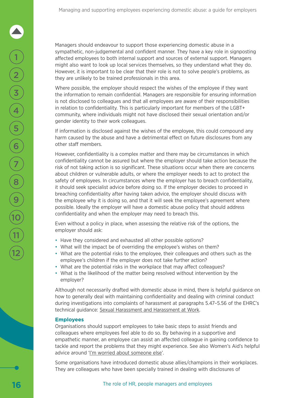Managers should endeavour to support those experiencing domestic abuse in a sympathetic, non-judgemental and confident manner. They have a key role in signposting affected employees to both internal support and sources of external support. Managers might also want to look up local services themselves, so they understand what they do. However, it is important to be clear that their role is not to solve people's problems, as they are unlikely to be trained professionals in this area.

Where possible, the employer should respect the wishes of the employee if they want the information to remain confidential. Managers are responsible for ensuring information is not disclosed to colleagues and that all employees are aware of their responsibilities in relation to confidentiality. This is particularly important for members of the LGBT+ community, where individuals might not have disclosed their sexual orientation and/or gender identity to their work colleagues.

If information is disclosed against the wishes of the employee, this could compound any harm caused by the abuse and have a detrimental effect on future disclosures from any other staff members.

However, confidentiality is a complex matter and there may be circumstances in which confidentiality cannot be assured but where the employer should take action because the risk of not taking action is so significant. These situations occur when there are concerns about children or vulnerable adults, or where the employer needs to act to protect the safety of employees. In circumstances where the employer has to breach confidentiality, it should seek specialist advice before doing so. If the employer decides to proceed in breaching confidentiality after having taken advice, the employer should discuss with the employee why it is doing so, and that it will seek the employee's agreement where possible. Ideally the employer will have a domestic abuse policy that should address confidentiality and when the employer may need to breach this.

Even without a policy in place, when assessing the relative risk of the options, the employer should ask:

- Have they considered and exhausted all other possible options?
- What will the impact be of overriding the employee's wishes on them?
- What are the potential risks to the employee, their colleagues and others such as the employee's children if the employer does not take further action?
- What are the potential risks in the workplace that may affect colleagues?
- What is the likelihood of the matter being resolved without intervention by the employer?

Although not necessarily drafted with domestic abuse in mind, there is helpful guidance on how to generally deal with maintaining confidentiality and dealing with criminal conduct during investigations into complaints of harassment at paragraphs 5.47–5.56 of the EHRC's technical guidance: [Sexual Harassment and Harassment at Work.](https://www.equalityhumanrights.com/en/publication-download/sexual-harassment-and-harassment-work-technical-guidance)

#### **Employees**

Organisations should support employees to take basic steps to assist friends and colleagues where employees feel able to do so. By behaving in a supportive and empathetic manner, an employee can assist an affected colleague in gaining confidence to tackle and report the problems that they might experience. See also Women's Aid's helpful advice around ['I'm worried about someone else'](https://www.womensaid.org.uk/the-survivors-handbook/im-worried-about-someone-else/).

Some organisations have introduced domestic abuse allies/champions in their workplaces. They are colleagues who have been specially trained in dealing with disclosures of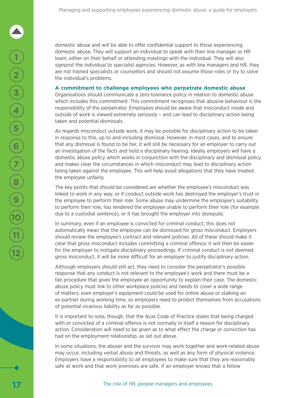<span id="page-18-0"></span>domestic abuse and will be able to offer confidential support to those experiencing domestic abuse. They will support an individual to speak with their line manager or HR team, either on their behalf or attending meetings with the individual. They will also signpost the individual to specialist agencies. However, as with line managers and HR, they are not trained specialists or counsellors and should not assume those roles or try to solve the individual's problems.

#### **A commitment to challenge employees who perpetrate domestic abuse**

Organisations should communicate a zero-tolerance policy in relation to domestic abuse which includes this commitment. This commitment recognises that abusive behaviour is the responsibility of the perpetrator. Employees should be aware that misconduct inside and outside of work is viewed extremely seriously – and can lead to disciplinary action being taken and potential dismissals.

As regards misconduct outside work, it may be possible for disciplinary action to be taken in response to this, up to and including dismissal. However, in most cases, and to ensure that any dismissal is found to be fair, it will still be necessary for an employer to carry out an investigation of the facts and hold a disciplinary hearing. Ideally employers will have a domestic abuse policy which works in conjunction with the disciplinary and dismissal policy and makes clear the circumstances in which misconduct may lead to disciplinary action being taken against the employee. This will help avoid allegations that they have treated the employee unfairly.

The key points that should be considered are whether the employee's misconduct was linked to work in any way, or if conduct outside work has destroyed the employer's trust in the employee to perform their role. Some abuse may undermine the employee's suitability to perform their role, has rendered the employee unable to perform their role (for example due to a custodial sentence), or it has brought the employer into disrepute.

In summary, even if an employee is convicted for criminal conduct, this does not automatically mean that the employee can be dismissed for gross misconduct. Employers should review the employee's contract and relevant policies. All of these should make it clear that gross misconduct includes committing a criminal offence; it will then be easier for the employer to instigate disciplinary proceedings. If criminal conduct is not deemed gross misconduct, it will be more difficult for an employer to justify disciplinary action.

Although employers should still act, they need to consider the perpetrator's possible response that any conduct is not relevant to the employee's work and there must be a fair procedure that gives the employee an opportunity to explain their case. The domestic abuse policy must link to other workplace policies and needs to cover a wide range of matters; even employer's equipment could be used for online abuse or stalking an ex-partner during working time, so employers need to protect themselves from accusations of potential vicarious liability as far as possible.

It is important to note, though, that the Acas Code of Practice states that being charged with or convicted of a criminal offence is not normally in itself a reason for disciplinary action. Consideration will need to be given as to what effect the charge or conviction has had on the employment relationship, as set out above.

In some situations, the abuser and the survivor may work together and work-related abuse may occur, including verbal abuse and threats, as well as any form of physical violence. Employers have a responsibility to all employees to make sure that they are reasonably safe at work and that work premises are safe. If an employer knows that a fellow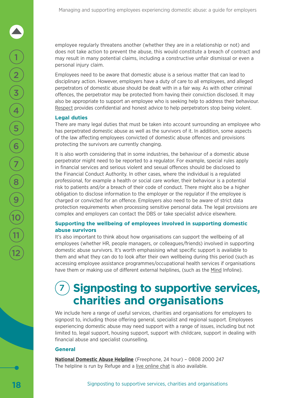employee regularly threatens another (whether they are in a relationship or not) and does not take action to prevent the abuse, this would constitute a breach of contract and may result in many potential claims, including a constructive unfair dismissal or even a personal injury claim.

Employees need to be aware that domestic abuse is a serious matter that can lead to disciplinary action. However, employers have a duty of care to all employees, and alleged perpetrators of domestic abuse should be dealt with in a fair way. As with other criminal offences, the perpetrator may be protected from having their conviction disclosed. It may also be appropriate to support an employee who is seeking help to address their behaviour. [Respect](https://respectphoneline.org.uk/about-us/#:~:text=Respect%20Phoneline%20is%20a%20confidential%20helpline%2C%20email%20and,can%20contact%20Respect%20Phoneline%3F%20Click%20to%20open%20close) provides confidential and honest advice to help perpetrators stop being violent.

#### **Legal duties**

There are many legal duties that must be taken into account surrounding an employee who has perpetrated domestic abuse as well as the survivors of it. In addition, some aspects of the law affecting employees convicted of domestic abuse offences and provisions protecting the survivors are currently changing.

It is also worth considering that in some industries, the behaviour of a domestic abuse perpetrator might need to be reported to a regulator. For example, special rules apply in financial services and serious violent and sexual offences should be disclosed to the Financial Conduct Authority. In other cases, where the individual is a regulated professional, for example a health or social care worker, their behaviour is a potential risk to patients and/or a breach of their code of conduct. There might also be a higher obligation to disclose information to the employer or the regulator if the employee is charged or convicted for an offence. Employers also need to be aware of strict data protection requirements when processing sensitive personal data. The legal provisions are complex and employers can contact the DBS or take specialist advice elsewhere.

#### **Supporting the wellbeing of employees involved in supporting domestic abuse survivors**

It's also important to think about how organisations can support the wellbeing of all employees (whether HR, people managers, or colleagues/friends) involved in supporting domestic abuse survivors. It's worth emphasising what specific support is available to them and what they can do to look after their own wellbeing during this period (such as accessing employee assistance programmes/occupational health services if organisations have them or making use of different external helplines, (such as the [Mind](https://www.mind.org.uk/information-support/helplines/) Infoline).

### **Signposting to supportive services, charities and organisations**

We include here a range of useful services, charities and organisations for employers to signpost to, including those offering general, specialist and regional support. Employees experiencing domestic abuse may need support with a range of issues, including but not limited to, legal support, housing support, support with childcare, support in dealing with financial abuse and specialist counselling.

#### **General**

**[National Domestic Abuse Helpline](https://www.nationaldahelpline.org.uk/)** (Freephone, 24 hour) – 0808 2000 247 The helpline is run by Refuge and a [live online chat](https://www.nationaldahelpline.org.uk/) is also available.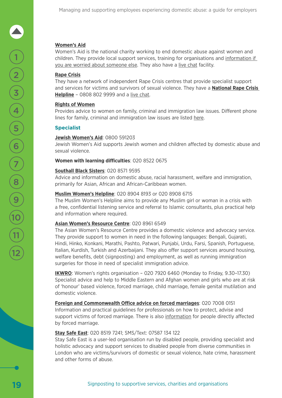#### **[Women's Aid](https://www.womensaid.org.uk/)**

Women's Aid is the national charity working to end domestic abuse against women and children. They provide local support services, training for organisations and [information if](https://www.womensaid.org.uk/the-survivors-handbook/im-worried-about-someone-else/)  [you are worried about someone else.](https://www.womensaid.org.uk/the-survivors-handbook/im-worried-about-someone-else/) They also have a [live chat](https://chat.womensaid.org.uk/) facility.

#### **[Rape Crisis](https://rapecrisis.org.uk/)**

2

1

3

4

5

6

7

8

9

 $\frac{10}{11}$ <br> $\frac{1}{12}$ 

They have a network of independent Rape Crisis centres that provide specialist support and services for victims and survivors of sexual violence. They have a **[National Rape Crisis](https://rapecrisis.org.uk/get-help/want-to-talk/)  [Helpline](https://rapecrisis.org.uk/get-help/want-to-talk/)** – 0808 802 9999 and a [live chat](https://rapecrisis.org.uk/get-help/want-to-talk/).

#### **[Rights of Women](C:\Users\cbillington\AppData\Local\Microsoft\Windows\INetCache\Content.Outlook\AD5FSN9W\rightsofwomen.org.uk\get-advice)**

Provides advice to women on family, criminal and immigration law issues. Different phone lines for family, criminal and immigration law issues are listed [here.](https://rightsofwomen.org.uk/get-advice/family-law/)

#### **Specialist**

#### **[Jewish Women's Aid](https://www.jwa.org.uk/)**: 0800 591203

Jewish Women's Aid supports Jewish women and children affected by domestic abuse and sexual violence.

#### **Women with learning difficulties**: 020 8522 0675

#### **[Southall Black Sisters](https://southallblacksisters.org.uk/)**: 020 8571 9595

Advice and information on domestic abuse, racial harassment, welfare and immigration, primarily for Asian, African and African-Caribbean women.

#### **[Muslim Women's Helpline](https://www.mwnhelpline.co.uk/)**: 020 8904 8193 or 020 8908 6715

The Muslim Women's Helpline aims to provide any Muslim girl or woman in a crisis with a free, confidential listening service and referral to Islamic consultants, plus practical help and information where required.

#### **[Asian Women's Resource Centre](https://www.asianwomencentre.org.uk/about/what-we-do)**: 020 8961 6549

The Asian Women's Resource Centre provides a domestic violence and advocacy service. They provide support to women in need in the following languages: Bengali, Gujarati, Hindi, Hinko, Konkani, Marathi, Pashto, Patwari, Punjabi, Urdu, Farsi, Spanish, Portuguese, Italian, Kurdish, Turkish and Azerbaijani. They also offer support services around housing, welfare benefits, debt (signposting) and employment, as well as running immigration surgeries for those in need of specialist immigration advice.

**[IKWRO](http://ikwro.org.uk/)**: Women's rights organisation – 020 7920 6460 (Monday to Friday, 9.30–17.30) Specialist advice and help to Middle Eastern and Afghan women and girls who are at risk of 'honour' based violence, forced marriage, child marriage, female genital mutilation and domestic violence.

**[Foreign and Commonwealth Office advice on forced marriages](https://www.gov.uk/guidance/forced-marriage)**: 020 7008 0151 Information and practical guidelines for professionals on how to protect, advise and support victims of forced marriage. There is also [information](https://www.gov.uk/stop-forced-marriage) for people directly affected by forced marriage.

#### **[Stay Safe East](http://staysafe-east.org.uk/)**: 020 8519 7241; SMS/Text: 07587 134 122

Stay Safe East is a user-led organisation run by disabled people, providing specialist and holistic advocacy and support services to disabled people from diverse communities in London who are victims/survivors of domestic or sexual violence, hate crime, harassment and other forms of abuse.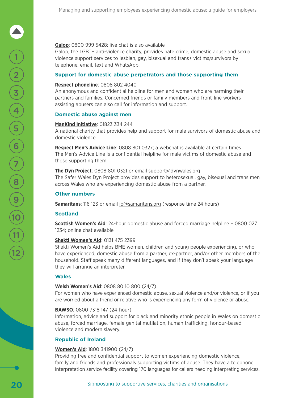#### **[Galop](http://www.galop.org.uk/wp-content/uploads/DV-A-LGBT.pdf)**: 0800 999 5428; live chat is also available

Galop, the LGBT+ anti-violence charity, provides hate crime, domestic abuse and sexual violence support services to lesbian, gay, bisexual and trans+ victims/survivors by telephone, email, text and WhatsApp.

#### **Support for domestic abuse perpetrators and those supporting them**

#### **[Respect phoneline](https://respectphoneline.org.uk/)**: 0808 802 4040

An anonymous and confidential helpline for men and women who are harming their partners and families. Concerned friends or family members and front-line workers assisting abusers can also call for information and support.

#### **Domestic abuse against men**

#### **[ManKind Initiative](https://www.mankind.org.uk/help-for-victims/)**: 01823 334 244

A national charity that provides help and support for male survivors of domestic abuse and domestic violence.

**[Respect Men's Advice Line](https://mensadviceline.org.uk/)**: 0808 801 0327; a webchat is available at certain times The Men's Advice Line is a confidential helpline for male victims of domestic abuse and those supporting them.

#### **[The Dyn Project](https://www.dynwales.org/)**: 0808 801 0321 or email [support@dynwales.org](mailto:support%40dynwales.org?subject=)

The Safer Wales Dyn Project provides support to heterosexual, gay, bisexual and trans men across Wales who are experiencing domestic abuse from a partner.

#### **Other numbers**

**Samaritans**: 116 123 or email [jo@samaritans.org](mailto:jo@samaritans.org) (response time 24 hours)

#### **Scotland**

**[Scottish Women's Aid](https://womensaid.scot/)**: 24-hour domestic abuse and forced marriage helpline – 0800 027 1234; online chat available

#### **[Shakti Women's Aid](https://shaktiedinburgh.co.uk/about/)**: 0131 475 2399

Shakti Women's Aid helps BME women, children and young people experiencing, or who have experienced, domestic abuse from a partner, ex-partner, and/or other members of the household. Staff speak many different languages, and if they don't speak your language they will arrange an interpreter.

#### **Wales**

#### **[Welsh Women's Aid](https://www.welshwomensaid.org.uk/)**: 0808 80 10 800 (24/7)

For women who have experienced domestic abuse, sexual violence and/or violence, or if you are worried about a friend or relative who is experiencing any form of violence or abuse.

#### **[BAWSO](http://www.bawso.org.uk/)**: 0800 7318 147 (24-hour)

Information, advice and support for black and minority ethnic people in Wales on domestic abuse, forced marriage, female genital mutilation, human trafficking, honour-based violence and modern slavery.

#### **Republic of Ireland**

#### **[Women's Aid](https://www.womensaidni.org/)**: 1800 341900 (24/7)

Providing free and confidential support to women experiencing domestic violence, family and friends and professionals supporting victims of abuse. They have a telephone interpretation service facility covering 170 languages for callers needing interpreting services.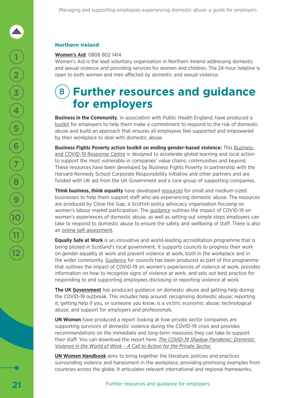#### **Northern Ireland**

#### **[Women's Aid](https://www.womensaidni.org/)**: 0808 802 1414

Women's Aid is the lead voluntary organisation in Northern Ireland addressing domestic and sexual violence and providing services for women and children. The 24-hour helpline is open to both women and men affected by domestic and sexual violence.

### 8 **Further resources and guidance for employers**

**Business in the Community**, in association with Public Health England, have produced a [toolkit](https://static1.squarespace.com/static/5cd83ed84d871178f0307100/t/5cfe752a01f3c40001e7516d/1560180083314/bitc_phe_domestic_abuse_toolkit.pdf) for employers to help them make a commitment to respond to the risk of domestic abuse and build an approach that ensures all employees feel supported and empowered by their workplace to deal with domestic abuse.

**Business Fights Poverty action toolkit on ending gender-based violence:** This [Business](https://businessfightspoverty.org/articles/covid-19-response-centre/)  [and COVID-19 Response Centre](https://businessfightspoverty.org/articles/covid-19-response-centre/) is designed to accelerate global learning and local action to support the most vulnerable in companies' value chains, communities and beyond. These resources have been developed by Business Fights Poverty in partnership with the Harvard Kennedy School Corporate Responsibility Initiative and other partners and are funded with UK aid from the UK Government and a core group of supporting companies.

**Think business, think equality** have developed [resources](https://www.thinkbusinessthinkequality.org.uk/toolkit/9-domestic-abuse/) for small and medium-sized businesses to help them support staff who are experiencing domestic abuse. The resources are produced by Close the Gap, a Scottish policy advocacy organisation focusing on women's labour market participation. The [guidance](https://www.thinkbusinessthinkequality.org.uk/files/tbtecovid19.pdf) outlines the impact of COVID-19 on women's experiences of domestic abuse, as well as setting out simple steps employers can take to respond to domestic abuse to ensure the safety and wellbeing of staff. There is also an [online self-assessment](https://www.thinkbusinessthinkequality.org.uk/toolkit/9-domestic-abuse/).

**Equally Safe at Work** is an innovative and world-leading accreditation programme that is being piloted in Scotland's local government. It supports councils to progress their work on gender equality at work and prevent violence at work, both in the workplace and in the wider community. [Guidance](https://www.equallysafeatwork.scot/resources/ESAWcovid19final.pdf) for councils has been produced as part of this programme that outlines the impact of COVID-19 on women's experiences of violence at work, provides information on how to recognise signs of violence at work, and sets out best practice for responding to and supporting employees disclosing or reporting violence at work.

**The UK [Government](https://www.gov.uk/guidance/domestic-abuse-how-to-get-help?gclid=CJbJl9Or0eoCFQwSGwodK0cD2w&gclsrc=ds)** has produced guidance on domestic abuse and getting help during the COVID-19 outbreak. This includes help around: recognising domestic abuse; reporting it; getting help if you, or someone you know, is a victim; economic abuse; technological abuse; and support for employers and professionals.

**UN Women** have produced a report looking at how private sector companies are supporting survivors of domestic violence during the COVID-19 crisis and provides recommendations on the immediate and long-term measures they can take to support their staff. You can download the report here: *[The COVID-19 Shadow Pandemic: Domestic](https://www.weps.org/resource/covid-19-shadow-pandemic-domestic-violence-world-work-call-action-private-sector)  [Violence in the World of Work – A Call to Action for the Private Sector](https://www.weps.org/resource/covid-19-shadow-pandemic-domestic-violence-world-work-call-action-private-sector).*

**[UN Women Handbook](https://www.unwomen.org/en/digital-library/publications/2019/03/handbook-addressing-violence-and-harassment-against-women-in-the-world-of-work)** aims to bring together the literature, policies and practices surrounding violence and harassment in the workplace, providing promising examples from countries across the globe. It articulates relevant international and regional frameworks,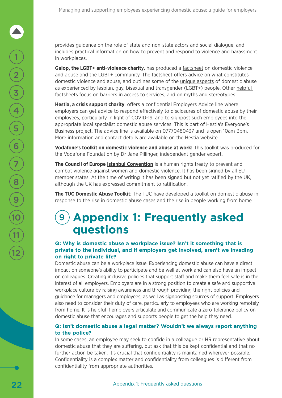provides guidance on the role of state and non-state actors and social dialogue, and includes practical information on how to prevent and respond to violence and harassment in workplaces.

**Galop, the LGBT+ anti-violence charity**, has produced a [factsheet](http://www.galop.org.uk/wp-content/uploads/DV-A-LGBT.pdf) on domestic violence and abuse and the LGBT+ community. The factsheet offers advice on what constitutes domestic violence and abuse, and outlines some of the [unique aspects](http://www.galop.org.uk/wp-content/uploads/Barries-Faced.pdf) of domestic abuse as experienced by lesbian, gay, bisexual and transgender (LGBT+) people. Other [helpful](http://www.galop.org.uk/wp-content/uploads/Myths.pdf)  [factsheets](http://www.galop.org.uk/wp-content/uploads/Myths.pdf) focus on barriers in access to services, and on myths and stereotypes.

**Hestia, a crisis support charity**, offers a confidential Employers Advice line where employers can get advice to respond effectively to disclosures of domestic abuse by their employees, particularly in light of COVID-19, and to signpost such employees into the appropriate local specialist domestic abuse services. This is part of Hestia's Everyone's Business project. The advice line is available on 07770480437 and is open 10am-3pm. More information and contact details are available on the [Hestia website.](https://www.hestia.org/everyones-business-advice-line)

**Vodafone's toolkit on domestic violence and abuse at work:** This [toolkit](https://www.vodafone.com/content/dam/vodcom/files/vodafone_domestic_violence_toolkit_2020.pdf) was produced for the Vodafone Foundation by Dr Jane Pillinger, independent gender expert.

**The Council of Europe [Istanbul Convention](https://ec.europa.eu/justice/saynostopvaw/downloads/materials/pdf/istanbul-convention-leaflet-online.pdf)** is a human rights treaty to prevent and combat violence against women and domestic violence. It has been signed by all EU member states. At the time of writing it has been signed but not yet ratified by the UK, although the UK has expressed commitment to ratification.

**The TUC Domestic Abuse Toolkit**: The TUC have developed a [toolkit](https://learning.elucidat.com/course/5e875ae4d0715-5e8c6417dfc28) on domestic abuse in response to the rise in domestic abuse cases and the rise in people working from home.

### 9 **Appendix 1: Frequently asked questions**

#### **Q: Why is domestic abuse a workplace issue? Isn't it something that is private to the individual, and if employers get involved, aren't we invading on right to private life?**

Domestic abuse can be a workplace issue. Experiencing domestic abuse can have a direct impact on someone's ability to participate and be well at work and can also have an impact on colleagues. Creating inclusive policies that support staff and make them feel safe is in the interest of all employers. Employers are in a strong position to create a safe and supportive workplace culture by raising awareness and through providing the right policies and guidance for managers and employees, as well as signposting sources of support. Employers also need to consider their duty of care, particularly to employees who are working remotely from home. It is helpful if employers articulate and communicate a zero-tolerance policy on domestic abuse that encourages and supports people to get the help they need.

#### **Q: Isn't domestic abuse a legal matter? Wouldn't we always report anything to the police?**

In some cases, an employee may seek to confide in a colleague or HR representative about domestic abuse that they are suffering, but ask that this be kept confidential and that no further action be taken. It's crucial that confidentiality is maintained wherever possible. Confidentiality is a complex matter and confidentiality from colleagues is different from confidentiality from appropriate authorities.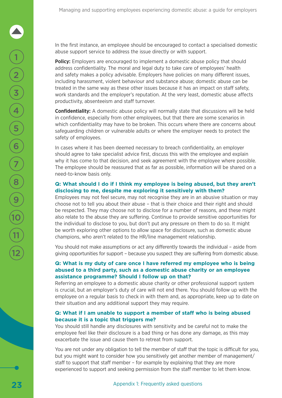In the first instance, an employee should be encouraged to contact a specialised domestic abuse support service to address the issue directly or with support.

**Policy:** Employers are encouraged to implement a domestic abuse policy that should address confidentiality. The moral and legal duty to take care of employees' health and safety makes a policy advisable. Employers have policies on many different issues, including harassment, violent behaviour and substance abuse; domestic abuse can be treated in the same way as these other issues because it has an impact on staff safety, work standards and the employer's reputation. At the very least, domestic abuse affects productivity, absenteeism and staff turnover.

**Confidentiality:** A domestic abuse policy will normally state that discussions will be held in confidence, especially from other employees, but that there are some scenarios in which confidentiality may have to be broken. This occurs where there are concerns about safeguarding children or vulnerable adults or where the employer needs to protect the safety of employees.

In cases where it has been deemed necessary to breach confidentiality, an employer should agree to take specialist advice first, discuss this with the employee and explain why it has come to that decision, and seek agreement with the employee where possible. The employee should be reassured that as far as possible, information will be shared on a need-to-know basis only.

#### **Q: What should I do if I think my employee is being abused, but they aren't disclosing to me, despite me exploring it sensitively with them?**

Employees may not feel secure, may not recognise they are in an abusive situation or may choose not to tell you about their abuse – that is their choice and their right and should be respected. They may choose not to disclose for a number of reasons, and these might also relate to the abuse they are suffering. Continue to provide sensitive opportunities for the individual to disclose to you, but don't put any pressure on them to do so. It might be worth exploring other options to allow space for disclosure, such as domestic abuse champions, who aren't related to the HR/line management relationship.

You should not make assumptions or act any differently towards the individual – aside from giving opportunities for support – because you suspect they are suffering from domestic abuse.

#### **Q: What is my duty of care once I have referred my employee who is being abused to a third party, such as a domestic abuse charity or an employee assistance programme? Should I follow up on that?**

Referring an employee to a domestic abuse charity or other professional support system is crucial, but an employer's duty of care will not end there. You should follow up with the employee on a regular basis to check in with them and, as appropriate, keep up to date on their situation and any additional support they may require.

#### **Q: What if I am unable to support a member of staff who is being abused because it is a topic that triggers me?**

You should still handle any disclosures with sensitivity and be careful not to make the employee feel like their disclosure is a bad thing or has done any damage, as this may exacerbate the issue and cause them to retreat from support.

You are not under any obligation to tell the member of staff that the topic is difficult for you, but you might want to consider how you sensitively get another member of management/ staff to support that staff member – for example by explaining that they are more experienced to support and seeking permission from the staff member to let them know.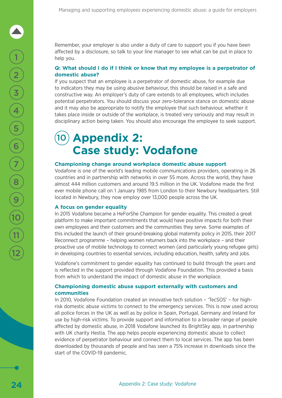Remember, your employer is also under a duty of care to support you if you have been affected by a disclosure, so talk to your line manager to see what can be put in place to help you.

#### **Q: What should I do if I think or know that my employee is a perpetrator of domestic abuse?**

If you suspect that an employee is a perpetrator of domestic abuse, for example due to indicators they may be using abusive behaviour, this should be raised in a safe and constructive way. An employer's duty of care extends to all employees, which includes potential perpetrators. You should discuss your zero-tolerance stance on domestic abuse and it may also be appropriate to notify the employee that such behaviour, whether it takes place inside or outside of the workplace, is treated very seriously and may result in disciplinary action being taken. You should also encourage the employee to seek support.

### 10 **Appendix 2: Case study: Vodafone**

#### **Championing change around workplace domestic abuse support**

Vodafone is one of the world's leading mobile communications providers, operating in 26 countries and in partnership with networks in over 55 more. Across the world, they have almost 444 million customers and around 19.5 million in the UK. Vodafone made the first ever mobile phone call on 1 January 1985 from London to their Newbury headquarters. Still located in Newbury, they now employ over 13,000 people across the UK.

#### **A focus on gender equality**

In 2015 Vodafone became a HeForShe Champion for gender equality. This created a great platform to make important commitments that would have positive impacts for both their own employees and their customers and the communities they serve. Some examples of this included the launch of their ground-breaking global maternity policy in 2015, their 2017 Reconnect programme – helping women returners back into the workplace – and their proactive use of mobile technology to connect women (and particularly young refugee girls) in developing countries to essential services, including education, health, safety and jobs.

Vodafone's commitment to gender equality has continued to build through the years and is reflected in the support provided through Vodafone Foundation. This provided a basis from which to understand the impact of domestic abuse in the workplace.

#### **Championing domestic abuse support externally with customers and communities**

In 2010, Vodafone Foundation created an innovative tech solution – 'TecSOS' – for highrisk domestic abuse victims to connect to the emergency services. This is now used across all police forces in the UK as well as by police in Spain, Portugal, Germany and Ireland for use by high-risk victims. To provide support and information to a broader range of people affected by domestic abuse, in 2018 Vodafone launched its BrightSky app, in partnership with UK charity Hestia. The app helps people experiencing domestic abuse to collect evidence of perpetrator behaviour and connect them to local services. The app has been downloaded by thousands of people and has seen a 75% increase in downloads since the start of the COVID-19 pandemic.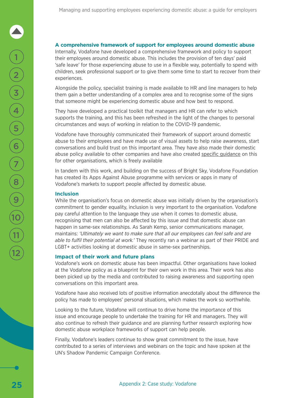#### **A comprehensive framework of support for employees around domestic abuse**

Internally, Vodafone have developed a comprehensive framework and policy to support their employees around domestic abuse. This includes the provision of ten days' paid 'safe leave' for those experiencing abuse to use in a flexible way, potentially to spend with children, seek professional support or to give them some time to start to recover from their experiences.

Alongside the policy, specialist training is made available to HR and line managers to help them gain a better understanding of a complex area and to recognise some of the signs that someone might be experiencing domestic abuse and how best to respond.

They have developed a practical toolkit that managers and HR can refer to which supports the training, and this has been refreshed in the light of the changes to personal circumstances and ways of working in relation to the COVID-19 pandemic.

Vodafone have thoroughly communicated their framework of support around domestic abuse to their employees and have made use of visual assets to help raise awareness, start conversations and build trust on this important area. They have also made their domestic abuse policy available to other companies and have also created [specific guidance](https://www.vodafone.com/content/dam/vodcom/files/Vodafone_Domestic_Violence_and_Abuse_Policy_Guide.pdf) on this for other organisations, which is freely available

In tandem with this work, and building on the success of Bright Sky, Vodafone Foundation has created its Apps Against Abuse programme with services or apps in many of Vodafone's markets to support people affected by domestic abuse.

#### **Inclusion**

While the organisation's focus on domestic abuse was initially driven by the organisation's commitment to gender equality, inclusion is very important to the organisation. Vodafone pay careful attention to the language they use when it comes to domestic abuse, recognising that men can also be affected by this issue and that domestic abuse can happen in same-sex relationships. As Sarah Kemp, senior communications manager, maintains: *'Ultimately we want to make sure that all our employees can feel safe and are able to fulfil their potential at work.'* They recently ran a webinar as part of their PRIDE and LGBT+ activities looking at domestic abuse in same-sex partnerships.

#### **Impact of their work and future plans**

Vodafone's work on domestic abuse has been impactful. Other organisations have looked at the Vodafone policy as a blueprint for their own work in this area. Their work has also been picked up by the media and contributed to raising awareness and supporting open conversations on this important area.

Vodafone have also received lots of positive information anecdotally about the difference the policy has made to employees' personal situations, which makes the work so worthwhile.

Looking to the future, Vodafone will continue to drive home the importance of this issue and encourage people to undertake the training for HR and managers. They will also continue to refresh their guidance and are planning further research exploring how domestic abuse workplace frameworks of support can help people.

Finally, Vodafone's leaders continue to show great commitment to the issue, have contributed to a series of interviews and webinars on the topic and have spoken at the UN's Shadow Pandemic Campaign Conference.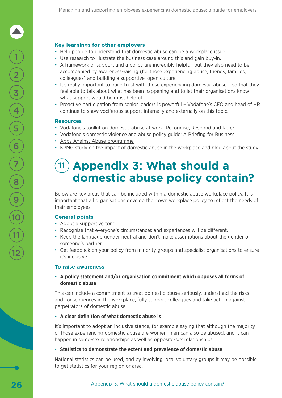#### **Key learnings for other employers**

- Help people to understand that domestic abuse can be a workplace issue.
- Use research to illustrate the business case around this and gain buy-in.
- A framework of support and a policy are incredibly helpful, but they also need to be accompanied by awareness-raising (for those experiencing abuse, friends, families, colleagues) and building a supportive, open culture.
- It's really important to build trust with those experiencing domestic abuse so that they feel able to talk about what has been happening and to let their organisations know what support would be most helpful.
- Proactive participation from senior leaders is powerful Vodafone's CEO and head of HR continue to show vociferous support internally and externally on this topic.

#### **Resources**

2

 $\begin{matrix} 1 \end{matrix}$ 

3

4

5

6

7

8

9

 $\frac{10}{11}$ <br> $\frac{1}{12}$ 

- Vodafone's toolkit on domestic abuse at work: [Recognise, Respond and Refer](https://www.vodafone.com/content/dam/vodcom/files/vodafone_domestic_violence_toolkit_2020.pdf)
- Vodafone's domestic violence and abuse policy guide: [A Briefing for Business](https://www.vodafone.com/content/dam/vodcom/files/Vodafone_Domestic_Violence_and_Abuse_Policy_Guide.pdf)
- [Apps Against Abuse programme](https://www.vodafone.com/content/dam/vodcom/files/Vodafone_Domestic_Violence_and_Abuse_Policy_Guide.pdf)
- KPMG [study](https://www.vodafone.com/content/dam/vodcom/images/homepage/kpmg_report_workplace_impacts_of_domestic_violence_and_abuse.pdf) on the impact of domestic abuse in the workplace and [blog](https://www.vodafone.com/perspectives/blog/international-research-shows-workplace-impacts-of-domestic-abuse) about the study

### 11 **Appendix 3: What should a domestic abuse policy contain?**

Below are key areas that can be included within a domestic abuse workplace policy. It is important that all organisations develop their own workplace policy to reflect the needs of their employees.

#### **General points**

- Adopt a supportive tone.
- Recognise that everyone's circumstances and experiences will be different.
- Keep the language gender neutral and don't make assumptions about the gender of someone's partner.
- Get feedback on your policy from minority groups and specialist organisations to ensure it's inclusive.

#### **To raise awareness**

#### • **A policy statement and/or organisation commitment which opposes all forms of domestic abuse**

This can include a commitment to treat domestic abuse seriously, understand the risks and consequences in the workplace, fully support colleagues and take action against perpetrators of domestic abuse.

#### • **A clear definition of what domestic abuse is**

It's important to adopt an inclusive stance, for example saying that although the majority of those experiencing domestic abuse are women, men can also be abused, and it can happen in same-sex relationships as well as opposite-sex relationships.

#### • **Statistics to demonstrate the extent and prevalence of domestic abuse**

National statistics can be used, and by involving local voluntary groups it may be possible to get statistics for your region or area.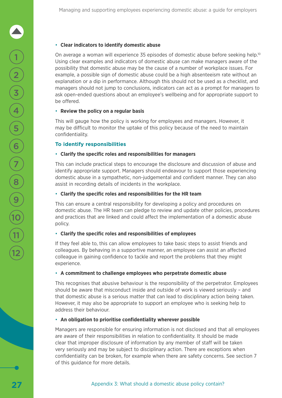#### • **Clear indicators to identify domestic abuse**

On average a woman will experience 35 episodes of domestic abuse before seeking help.<sup>10</sup> Using clear examples and indicators of domestic abuse can make managers aware of the possibility that domestic abuse may be the cause of a number of workplace issues. For example, a possible sign of domestic abuse could be a high absenteeism rate without an explanation or a dip in performance. Although this should not be used as a checklist, and managers should not jump to conclusions, indicators can act as a prompt for managers to ask open-ended questions about an employee's wellbeing and for appropriate support to be offered.

#### • **Review the policy on a regular basis**

This will gauge how the policy is working for employees and managers. However, it may be difficult to monitor the uptake of this policy because of the need to maintain confidentiality.

#### **To identify responsibilities**

#### • **Clarify the specific roles and responsibilities for managers**

This can include practical steps to encourage the disclosure and discussion of abuse and identify appropriate support. Managers should endeavour to support those experiencing domestic abuse in a sympathetic, non-judgemental and confident manner. They can also assist in recording details of incidents in the workplace.

#### • **Clarify the specific roles and responsibilities for the HR team**

This can ensure a central responsibility for developing a policy and procedures on domestic abuse. The HR team can pledge to review and update other policies, procedures and practices that are linked and could affect the implementation of a domestic abuse policy.

#### • **Clarify the specific roles and responsibilities of employees**

If they feel able to, this can allow employees to take basic steps to assist friends and colleagues. By behaving in a supportive manner, an employee can assist an affected colleague in gaining confidence to tackle and report the problems that they might experience.

#### • **A commitment to challenge employees who perpetrate domestic abuse**

This recognises that abusive behaviour is the responsibility of the perpetrator. Employees should be aware that misconduct inside and outside of work is viewed seriously – and that domestic abuse is a serious matter that can lead to disciplinary action being taken. However, it may also be appropriate to support an employee who is seeking help to address their behaviour.

#### • **An obligation to prioritise confidentiality wherever possible**

Managers are responsible for ensuring information is not disclosed and that all employees are aware of their responsibilities in relation to confidentiality. It should be made clear that improper disclosure of information by any member of staff will be taken very seriously and may be subject to disciplinary action. There are exceptions when confidentiality can be broken, for example when there are safety concerns. See section 7 of this guidance for more details.

2

1

3

4

5

6

7

8

9

 $\frac{10}{11}$ <br> $\frac{1}{12}$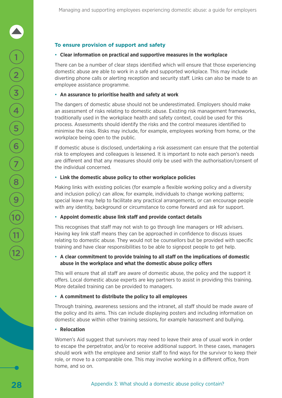#### **To ensure provision of support and safety**

#### • **Clear information on practical and supportive measures in the workplace**

There can be a number of clear steps identified which will ensure that those experiencing domestic abuse are able to work in a safe and supported workplace. This may include diverting phone calls or alerting reception and security staff. Links can also be made to an employee assistance programme.

#### • **An assurance to prioritise health and safety at work**

The dangers of domestic abuse should not be underestimated. Employers should make an assessment of risks relating to domestic abuse. Existing risk management frameworks, traditionally used in the workplace health and safety context, could be used for this process. Assessments should identify the risks and the control measures identified to minimise the risks. Risks may include, for example, employees working from home, or the workplace being open to the public.

If domestic abuse is disclosed, undertaking a risk assessment can ensure that the potential risk to employees and colleagues is lessened. It is important to note each person's needs are different and that any measures should only be used with the authorisation/consent of the individual concerned.

#### • **Link the domestic abuse policy to other workplace policies**

Making links with existing policies (for example a flexible working policy and a diversity and inclusion policy) can allow, for example, individuals to change working patterns; special leave may help to facilitate any practical arrangements, or can encourage people with any identity, background or circumstance to come forward and ask for support.

#### • **Appoint domestic abuse link staff and provide contact details**

This recognises that staff may not wish to go through line managers or HR advisers. Having key link staff means they can be approached in confidence to discuss issues relating to domestic abuse. They would not be counsellors but be provided with specific training and have clear responsibilities to be able to signpost people to get help.

#### • **A clear commitment to provide training to all staff on the implications of domestic abuse in the workplace and what the domestic abuse policy offers**

This will ensure that all staff are aware of domestic abuse, the policy and the support it offers. Local domestic abuse experts are key partners to assist in providing this training. More detailed training can be provided to managers.

#### • **A commitment to distribute the policy to all employees**

Through training, awareness sessions and the intranet, all staff should be made aware of the policy and its aims. This can include displaying posters and including information on domestic abuse within other training sessions, for example harassment and bullying.

#### • **Relocation**

Women's Aid suggest that survivors may need to leave their area of usual work in order to escape the perpetrator, and/or to receive additional support. In these cases, managers should work with the employee and senior staff to find ways for the survivor to keep their role, or move to a comparable one. This may involve working in a different office, from home, and so on.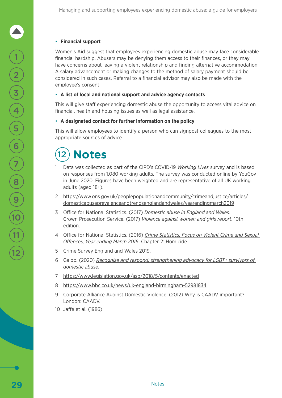#### • **Financial support**

Women's Aid suggest that employees experiencing domestic abuse may face considerable financial hardship. Abusers may be denying them access to their finances, or they may have concerns about leaving a violent relationship and finding alternative accommodation. A salary advancement or making changes to the method of salary payment should be considered in such cases. Referral to a financial advisor may also be made with the employee's consent.

#### • **A list of local and national support and advice agency contacts**

This will give staff experiencing domestic abuse the opportunity to access vital advice on financial, health and housing issues as well as legal assistance.

#### • **A designated contact for further information on the policy**

This will allow employees to identify a person who can signpost colleagues to the most appropriate sources of advice.

## 12 **Notes**

- 1 Data was collected as part of the CIPD's COVID-19 *Working Lives* survey and is based on responses from 1,080 working adults. The survey was conducted online by YouGov in June 2020. Figures have been weighted and are representative of all UK working adults (aged 18+).
- 2 [https://www.ons.gov.uk/peoplepopulationandcommunity/crimeandjustice/articles/](https://www.ons.gov.uk/peoplepopulationandcommunity/crimeandjustice/articles/domesticabuseprevalenceandtrendsenglandandwales/yearendingmarch2019) [domesticabuseprevalenceandtrendsenglandandwales/yearendingmarch2019](https://www.ons.gov.uk/peoplepopulationandcommunity/crimeandjustice/articles/domesticabuseprevalenceandtrendsenglandandwales/yearendingmarch2019)
- 3 Office for National Statistics. (2017) *[Domestic abuse in England and Wales](https://www.ons.gov.uk/peoplepopulationandcommunity/crimeandjustice/bulletins/domesticabuseinenglandandwales/yearendingmarch2017)*. Crown Prosecution Service. (2017) *Violence against women and girls report*. 10th edition.
- 4 Office for National Statistics. (2016) *[Crime Statistics: Focus on Violent Crime and Sexual](https://www.ons.gov.uk/peoplepopulationandcommunity/crimeandjustice/compendium/focusonviolentcrimeandsexualoffences/yearendingmarch2016)  [Offences, Year ending March 2016](https://www.ons.gov.uk/peoplepopulationandcommunity/crimeandjustice/compendium/focusonviolentcrimeandsexualoffences/yearendingmarch2016)*. Chapter 2: Homicide.
- 5 Crime Survey England and Wales 2019.
- 6 Galop. (2020) *[Recognise and respond: strengthening advocacy for LGBT+ survivors of](http://www.galop.org.uk/wp-content/uploads/Galop_RR-v4a.pdf)  [domestic abuse](http://www.galop.org.uk/wp-content/uploads/Galop_RR-v4a.pdf)*.
- 7 https://www.legislation.gov.uk/asp/2018/5/contents/enacted
- 8 <https://www.bbc.co.uk/news/uk-england-birmingham-52981834>
- 9 Corporate Alliance Against Domestic Violence. (2012) [Why is CAADV important?](http://www.caadv.org.uk/why.php) London: CAADV.
- 10 Jaffe et al. (1986)